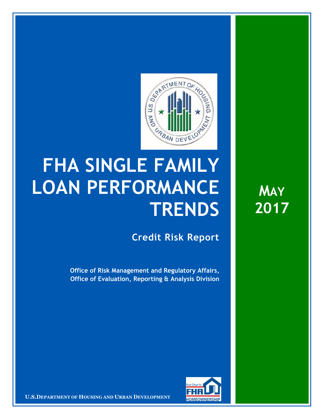

## **FHA SINGLE FAMILY LOAN PERFORMANCE TRENDS**

**Credit Risk Report**

**Office of Risk Management and Regulatory Affairs, Office of Evaluation, Reporting & Analysis Division** 



16 March 20171 **Confidential| For Internal Use Only** 1 **U.S.DEPARTMENT OF HOUSING AND URBAN DEVELOPMENT**

**MAY 2017**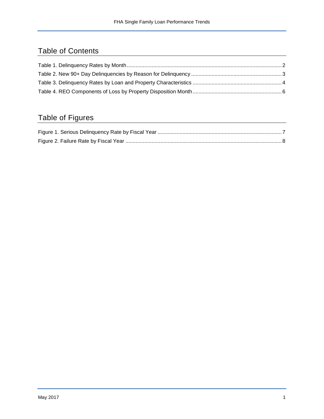## Table of Contents

## Table of Figures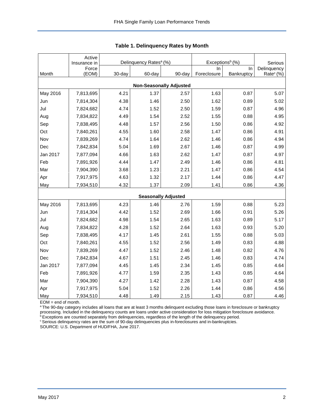|          | Active<br>Insurance in | Delinquency Rates <sup>a</sup> (%) |        |                                | Exceptions <sup>b</sup> (%) | Serious    |                       |
|----------|------------------------|------------------------------------|--------|--------------------------------|-----------------------------|------------|-----------------------|
|          | Force                  |                                    |        |                                | In.                         | In         | Delinquency           |
| Month    | (EOM)                  | 30-day                             | 60-day | 90-day                         | Foreclosure                 | Bankruptcy | Rate <sup>c</sup> (%) |
|          |                        |                                    |        | <b>Non-Seasonally Adjusted</b> |                             |            |                       |
| May 2016 | 7,813,695              | 4.21                               | 1.37   | 2.57                           | 1.63                        | 0.87       | 5.07                  |
| Jun      | 7,814,304              | 4.38                               | 1.46   | 2.50                           | 1.62                        | 0.89       | 5.02                  |
| Jul      | 7,824,682              | 4.74                               | 1.52   | 2.50                           | 1.59                        | 0.87       | 4.96                  |
| Aug      | 7,834,822              | 4.49                               | 1.54   | 2.52                           | 1.55                        | 0.88       | 4.95                  |
| Sep      | 7,838,495              | 4.48                               | 1.57   | 2.56                           | 1.50                        | 0.86       | 4.92                  |
| Oct      | 7,840,261              | 4.55                               | 1.60   | 2.58                           | 1.47                        | 0.86       | 4.91                  |
| Nov      | 7,839,269              | 4.74                               | 1.64   | 2.62                           | 1.46                        | 0.86       | 4.94                  |
| Dec      | 7,842,834              | 5.04                               | 1.69   | 2.67                           | 1.46                        | 0.87       | 4.99                  |
| Jan 2017 | 7,877,094              | 4.66                               | 1.63   | 2.62                           | 1.47                        | 0.87       | 4.97                  |
| Feb      | 7,891,926              | 4.44                               | 1.47   | 2.49                           | 1.46                        | 0.86       | 4.81                  |
| Mar      | 7,904,390              | 3.68                               | 1.23   | 2.21                           | 1.47                        | 0.86       | 4.54                  |
| Apr      | 7,917,975              | 4.63                               | 1.32   | 2.17                           | 1.44                        | 0.86       | 4.47                  |
| May      | 7,934,510              | 4.32                               | 1.37   | 2.09                           | 1.41                        | 0.86       | 4.36                  |
|          |                        |                                    |        | <b>Seasonally Adjusted</b>     |                             |            |                       |
| May 2016 | 7,813,695              | 4.23                               | 1.46   | 2.76                           | 1.59                        | 0.88       | 5.23                  |
| Jun      | 7,814,304              | 4.42                               | 1.52   | 2.69                           | 1.66                        | 0.91       | 5.26                  |
| Jul      | 7,824,682              | 4.98                               | 1.54   | 2.65                           | 1.63                        | 0.89       | 5.17                  |
| Aug      | 7,834,822              | 4.28                               | 1.52   | 2.64                           | 1.63                        | 0.93       | 5.20                  |
| Sep      | 7,838,495              | 4.17                               | 1.45   | 2.61                           | 1.55                        | 0.88       | 5.03                  |
| Oct      | 7,840,261              | 4.55                               | 1.52   | 2.56                           | 1.49                        | 0.83       | 4.88                  |
| Nov      | 7,839,269              | 4.47                               | 1.52   | 2.46                           | 1.48                        | 0.82       | 4.76                  |
| Dec      | 7,842,834              | 4.67                               | 1.51   | 2.45                           | 1.46                        | 0.83       | 4.74                  |
| Jan 2017 | 7,877,094              | 4.45                               | 1.45   | 2.34                           | 1.45                        | 0.85       | 4.64                  |
| Feb      | 7,891,926              | 4.77                               | 1.59   | 2.35                           | 1.43                        | 0.85       | 4.64                  |
| Mar      | 7,904,390              | 4.27                               | 1.42   | 2.28                           | 1.43                        | 0.87       | 4.58                  |
| Apr      | 7,917,975              | 5.04                               | 1.52   | 2.26                           | 1.44                        | 0.86       | 4.56                  |
| May      | 7,934,510              | 4.48                               | 1.49   | 2.15                           | 1.43                        | 0.87       | 4.46                  |

<span id="page-2-0"></span>

EOM = end of month.

<sup>a</sup>The 90-day category includes all loans that are at least 3 months delinquent excluding those loans in foreclosure or bankruptcy processing. Included in the delinquency counts are loans under active consideration for loss mitigation foreclosure avoidance.

<sup>b</sup> Exceptions are counted separately from delinquencies, regardless of the length of the delinquency period.

<sup>c</sup> Serious delinquency rates are the sum of 90-day delinquencies plus in-foreclosures and in-bankruptcies.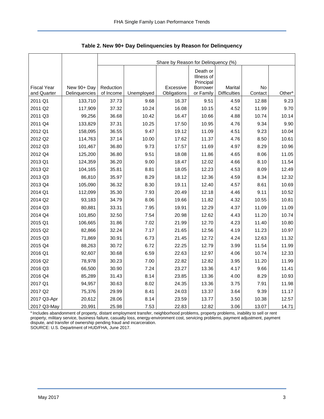<span id="page-3-0"></span>

|                                   |               | Share by Reason for Delinquency (%) |            |             |                                                        |                                |         |                    |  |  |  |
|-----------------------------------|---------------|-------------------------------------|------------|-------------|--------------------------------------------------------|--------------------------------|---------|--------------------|--|--|--|
| <b>Fiscal Year</b><br>and Quarter | New 90+ Day   | Reduction                           |            | Excessive   | Death or<br>Illness of<br>Principal<br><b>Borrower</b> | Marital<br><b>Difficulties</b> | No      | Other <sup>a</sup> |  |  |  |
|                                   | Delinquencies | of Income                           | Unemployed | Obligations | or Family                                              |                                | Contact |                    |  |  |  |
| 2011 Q1                           | 133,710       | 37.73                               | 9.68       | 16.37       | 9.51                                                   | 4.59                           | 12.88   | 9.23               |  |  |  |
| 2011 Q2                           | 117,909       | 37.32                               | 10.24      | 16.08       | 10.15                                                  | 4.52                           | 11.99   | 9.70               |  |  |  |
| 2011 Q3                           | 99,256        | 36.68                               | 10.42      | 16.47       | 10.66                                                  | 4.88                           | 10.74   | 10.14              |  |  |  |
| 2011 Q4                           | 133,829       | 37.31                               | 10.25      | 17.50       | 10.95                                                  | 4.76                           | 9.34    | 9.90               |  |  |  |
| 2012 Q1                           | 158,095       | 36.55                               | 9.47       | 19.12       | 11.09                                                  | 4.51                           | 9.23    | 10.04              |  |  |  |
| 2012 Q2                           | 114,763       | 37.14                               | 10.00      | 17.62       | 11.37                                                  | 4.76                           | 8.50    | 10.61              |  |  |  |
| 2012 Q3                           | 101,467       | 36.80                               | 9.73       | 17.57       | 11.69                                                  | 4.97                           | 8.29    | 10.96              |  |  |  |
| 2012 Q4                           | 125,200       | 36.80                               | 9.51       | 18.08       | 11.86                                                  | 4.65                           | 8.06    | 11.05              |  |  |  |
| 2013 Q1                           | 124,359       | 36.20                               | 9.00       | 18.47       | 12.02                                                  | 4.66                           | 8.10    | 11.54              |  |  |  |
| 2013 Q2                           | 104,165       | 35.81                               | 8.81       | 18.05       | 12.23                                                  | 4.53                           | 8.09    | 12.49              |  |  |  |
| 2013 Q3                           | 86,810        | 35.97                               | 8.29       | 18.12       | 12.36                                                  | 4.59                           | 8.34    | 12.32              |  |  |  |
| 2013 Q4                           | 105,090       | 36.32                               | 8.30       | 19.11       | 12.40                                                  | 4.57                           | 8.61    | 10.69              |  |  |  |
| 2014 Q1                           | 112,099       | 35.30                               | 7.93       | 20.49       | 12.18                                                  | 4.46                           | 9.11    | 10.52              |  |  |  |
| 2014 Q2                           | 93,183        | 34.79                               | 8.06       | 19.66       | 11.82                                                  | 4.32                           | 10.55   | 10.81              |  |  |  |
| 2014 Q3                           | 80,881        | 33.31                               | 7.95       | 19.91       | 12.29                                                  | 4.37                           | 11.09   | 11.09              |  |  |  |
| 2014 Q4                           | 101,850       | 32.50                               | 7.54       | 20.98       | 12.62                                                  | 4.43                           | 11.20   | 10.74              |  |  |  |
| 2015 Q1                           | 106,665       | 31.86                               | 7.02       | 21.99       | 12.70                                                  | 4.23                           | 11.40   | 10.80              |  |  |  |
| 2015 Q2                           | 82,866        | 32.24                               | 7.17       | 21.65       | 12.56                                                  | 4.19                           | 11.23   | 10.97              |  |  |  |
| 2015 Q3                           | 71,869        | 30.91                               | 6.73       | 21.45       | 12.72                                                  | 4.24                           | 12.63   | 11.32              |  |  |  |
| 2015 Q4                           | 88,263        | 30.72                               | 6.72       | 22.25       | 12.79                                                  | 3.99                           | 11.54   | 11.99              |  |  |  |
| 2016 Q1                           | 92,607        | 30.68                               | 6.59       | 22.63       | 12.97                                                  | 4.06                           | 10.74   | 12.33              |  |  |  |
| 2016 Q2                           | 78,978        | 30.23                               | 7.00       | 22.82       | 12.82                                                  | 3.95                           | 11.20   | 11.99              |  |  |  |
| 2016 Q3                           | 66,500        | 30.90                               | 7.24       | 23.27       | 13.36                                                  | 4.17                           | 9.66    | 11.41              |  |  |  |
| 2016 Q4                           | 85,289        | 31.43                               | 8.14       | 23.85       | 13.36                                                  | 4.00                           | 8.29    | 10.93              |  |  |  |
| 2017 Q1                           | 94,957        | 30.63                               | 8.02       | 24.35       | 13.36                                                  | 3.75                           | 7.91    | 11.98              |  |  |  |
| 2017 Q2                           | 75,376        | 29.99                               | 8.41       | 24.03       | 13.37                                                  | 3.64                           | 9.39    | 11.17              |  |  |  |
| 2017 Q3-Apr                       | 20,612        | 28.06                               | 8.14       | 23.59       | 13.77                                                  | 3.50                           | 10.38   | 12.57              |  |  |  |
| 2017 Q3-May                       | 20,991        | 25.98                               | 7.53       | 22.83       | 12.82                                                  | 3.06                           | 13.07   | 14.71              |  |  |  |

<span id="page-3-1"></span>**Table 2. New 90+ Day Delinquencies by Reason for Delinquency** 

a Includes abandonment of property, distant employment transfer, neighborhood problems, property problems, inability to sell or rent property, military service, business failure, casualty loss, energy-environment cost, servicing problems, payment adjustment, payment dispute, and transfer of ownership pending fraud and incarceration.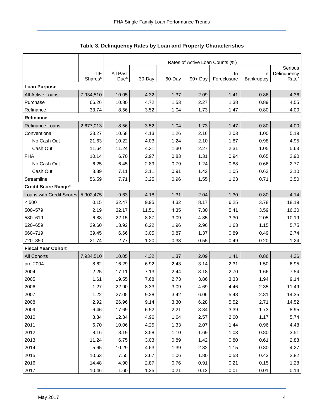<span id="page-4-0"></span>

|                           |                                   | Rates of Active Loan Counts (%) |        |        |         |                    |                  |                                  |  |  |  |
|---------------------------|-----------------------------------|---------------------------------|--------|--------|---------|--------------------|------------------|----------------------------------|--|--|--|
|                           |                                   |                                 |        |        |         |                    |                  | Serious                          |  |  |  |
|                           | <b>IIF</b><br>Shares <sup>a</sup> | All Past<br>Dueb                | 30-Day | 60-Day | 90+ Day | In.<br>Foreclosure | In<br>Bankruptcy | Delinquency<br>Rate <sup>c</sup> |  |  |  |
| <b>Loan Purpose</b>       |                                   |                                 |        |        |         |                    |                  |                                  |  |  |  |
| All Active Loans          | 7,934,510                         | 10.05                           | 4.32   | 1.37   | 2.09    | 1.41               | 0.86             | 4.36                             |  |  |  |
| Purchase                  | 66.26                             | 10.80                           | 4.72   | 1.53   | 2.27    | 1.38               | 0.89             | 4.55                             |  |  |  |
| Refinance                 | 33.74                             | 8.56                            | 3.52   | 1.04   | 1.73    | 1.47               | 0.80             | 4.00                             |  |  |  |
| Refinance                 |                                   |                                 |        |        |         |                    |                  |                                  |  |  |  |
| Refinance Loans           | 2,677,013                         | 8.56                            | 3.52   | 1.04   | 1.73    | 1.47               | 0.80             | 4.00                             |  |  |  |
| Conventional              | 33.27                             | 10.58                           | 4.13   | 1.26   | 2.16    | 2.03               | 1.00             | 5.19                             |  |  |  |
| No Cash Out               | 21.63                             | 10.22                           | 4.03   | 1.24   | 2.10    | 1.87               | 0.98             | 4.95                             |  |  |  |
| Cash Out                  | 11.64                             | 11.24                           | 4.31   | 1.30   | 2.27    | 2.31               | 1.05             | 5.63                             |  |  |  |
| <b>FHA</b>                | 10.14                             | 6.70                            | 2.97   | 0.83   | 1.31    | 0.94               | 0.65             | 2.90                             |  |  |  |
| No Cash Out               | 6.25                              | 6.45                            | 2.89   | 0.79   | 1.24    | 0.88               | 0.66             | 2.77                             |  |  |  |
| Cash Out                  | 3.89                              | 7.11                            | 3.11   | 0.91   | 1.42    | 1.05               | 0.63             | 3.10                             |  |  |  |
| Streamline                | 56.59                             | 7.71                            | 3.25   | 0.96   | 1.55    | 1.23               | 0.71             | 3.50                             |  |  |  |
| Credit Score Ranged       |                                   |                                 |        |        |         |                    |                  |                                  |  |  |  |
| Loans with Credit Scores  | 5,902,475                         | 9.63                            | 4.18   | 1.31   | 2.04    | 1.30               | 0.80             | 4.14                             |  |  |  |
| < 500                     | 0.15                              | 32.47                           | 9.95   | 4.32   | 8.17    | 6.25               | 3.78             | 18.19                            |  |  |  |
| 500-579                   | 2.19                              | 32.17                           | 11.51  | 4.35   | 7.30    | 5.41               | 3.59             | 16.30                            |  |  |  |
| 580-619                   | 6.88                              | 22.15                           | 8.87   | 3.09   | 4.85    | 3.30               | 2.05             | 10.19                            |  |  |  |
| 620-659                   | 29.60                             | 13.92                           | 6.22   | 1.96   | 2.96    | 1.63               | 1.15             | 5.75                             |  |  |  |
| 660-719                   | 39.45                             | 6.66                            | 3.05   | 0.87   | 1.37    | 0.89               | 0.49             | 2.74                             |  |  |  |
| 720-850                   | 21.74                             | 2.77                            | 1.20   | 0.33   | 0.55    | 0.49               | 0.20             | 1.24                             |  |  |  |
| <b>Fiscal Year Cohort</b> |                                   |                                 |        |        |         |                    |                  |                                  |  |  |  |
| All Cohorts               | 7,934,510                         | 10.05                           | 4.32   | 1.37   | 2.09    | 1.41               | 0.86             | 4.36                             |  |  |  |
| pre-2004                  | 8.62                              | 16.29                           | 6.92   | 2.43   | 3.14    | 2.31               | 1.50             | 6.95                             |  |  |  |
| 2004                      | 2.25                              | 17.11                           | 7.13   | 2.44   | 3.18    | 2.70               | 1.66             | 7.54                             |  |  |  |
| 2005                      | 1.61                              | 19.55                           | 7.68   | 2.73   | 3.86    | 3.33               | 1.94             | 9.14                             |  |  |  |
| 2006                      | 1.27                              | 22.90                           | 8.33   | 3.09   | 4.69    | 4.46               | 2.35             | 11.49                            |  |  |  |
| 2007                      | 1.22                              | 27.05                           | 9.28   | 3.42   | 6.06    | 5.48               | 2.81             | 14.35                            |  |  |  |
| 2008                      | 2.92                              | 26.96                           | 9.14   | 3.30   | 6.28    | 5.52               | 2.71             | 14.52                            |  |  |  |
| 2009                      | 6.46                              | 17.69                           | 6.52   | 2.21   | 3.84    | 3.39               | 1.73             | 8.95                             |  |  |  |
| 2010                      | 8.34                              | 12.34                           | 4.96   | 1.64   | 2.57    | 2.00               | 1.17             | 5.74                             |  |  |  |
| 2011                      | 6.70                              | 10.06                           | 4.25   | 1.33   | 2.07    | 1.44               | 0.96             | 4.48                             |  |  |  |
| 2012                      | 8.16                              | 8.19                            | 3.58   | 1.10   | 1.69    | 1.03               | 0.80             | 3.51                             |  |  |  |
| 2013                      | 11.24                             | 6.75                            | 3.03   | 0.89   | 1.42    | 0.80               | 0.61             | 2.83                             |  |  |  |
| 2014                      | 5.65                              | 10.29                           | 4.63   | 1.39   | 2.32    | 1.15               | 0.80             | 4.27                             |  |  |  |
| 2015                      | 10.63                             | 7.55                            | 3.67   | 1.06   | 1.80    | 0.58               | 0.43             | 2.82                             |  |  |  |
| 2016                      | 14.48                             | 4.90                            | 2.87   | 0.76   | 0.91    | 0.21               | 0.15             | 1.28                             |  |  |  |
| 2017                      | 10.46                             | 1.60                            | 1.25   | 0.21   | 0.12    | 0.01               | 0.01             | 0.14                             |  |  |  |

<span id="page-4-1"></span>

| Table 3. Delinquency Rates by Loan and Property Characteristics |  |  |  |
|-----------------------------------------------------------------|--|--|--|
|-----------------------------------------------------------------|--|--|--|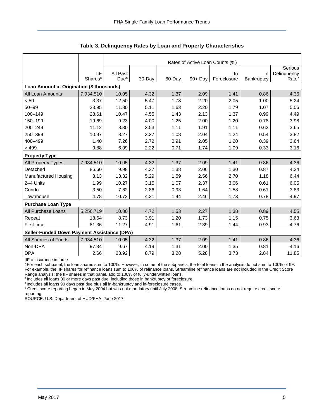|                                             |                     | Rates of Active Loan Counts (%) |        |        |            |             |            |                   |  |  |  |
|---------------------------------------------|---------------------|---------------------------------|--------|--------|------------|-------------|------------|-------------------|--|--|--|
|                                             |                     |                                 |        |        |            |             |            | Serious           |  |  |  |
|                                             | <b>IIF</b>          | All Past                        |        |        |            | In.         | <b>In</b>  | Delinquency       |  |  |  |
|                                             | Shares <sup>a</sup> | Due <sup>b</sup>                | 30-Day | 60-Day | $90 + Day$ | Foreclosure | Bankruptcy | Rate <sup>c</sup> |  |  |  |
| Loan Amount at Origination (\$ thousands)   |                     |                                 |        |        |            |             |            |                   |  |  |  |
| All Loan Amounts                            | 7,934,510           | 10.05                           | 4.32   | 1.37   | 2.09       | 1.41        | 0.86       | 4.36              |  |  |  |
| < 50                                        | 3.37                | 12.50                           | 5.47   | 1.78   | 2.20       | 2.05        | 1.00       | 5.24              |  |  |  |
| $50 - 99$                                   | 23.95               | 11.80                           | 5.11   | 1.63   | 2.20       | 1.79        | 1.07       | 5.06              |  |  |  |
| 100-149                                     | 28.61               | 10.47                           | 4.55   | 1.43   | 2.13       | 1.37        | 0.99       | 4.49              |  |  |  |
| 150-199                                     | 19.69               | 9.23                            | 4.00   | 1.25   | 2.00       | 1.20        | 0.78       | 3.98              |  |  |  |
| 200-249                                     | 11.12               | 8.30                            | 3.53   | 1.11   | 1.91       | 1.11        | 0.63       | 3.65              |  |  |  |
| 250-399                                     | 10.97               | 8.27                            | 3.37   | 1.08   | 2.04       | 1.24        | 0.54       | 3.82              |  |  |  |
| 400-499                                     | 1.40                | 7.26                            | 2.72   | 0.91   | 2.05       | 1.20        | 0.39       | 3.64              |  |  |  |
| >499                                        | 0.88                | 6.09                            | 2.22   | 0.71   | 1.74       | 1.09        | 0.33       | 3.16              |  |  |  |
| <b>Property Type</b>                        |                     |                                 |        |        |            |             |            |                   |  |  |  |
| All Property Types                          | 7,934,510           | 10.05                           | 4.32   | 1.37   | 2.09       | 1.41        | 0.86       | 4.36              |  |  |  |
| Detached                                    | 86.60               | 9.98                            | 4.37   | 1.38   | 2.06       | 1.30        | 0.87       | 4.24              |  |  |  |
| Manufactured Housing                        | 3.13                | 13.32                           | 5.29   | 1.59   | 2.56       | 2.70        | 1.18       | 6.44              |  |  |  |
| 2-4 Units                                   | 1.99                | 10.27                           | 3.15   | 1.07   | 2.37       | 3.06        | 0.61       | 6.05              |  |  |  |
| Condo                                       | 3.50                | 7.62                            | 2.86   | 0.93   | 1.64       | 1.58        | 0.61       | 3.83              |  |  |  |
| Townhouse                                   | 4.78                | 10.72                           | 4.31   | 1.44   | 2.46       | 1.73        | 0.78       | 4.97              |  |  |  |
| <b>Purchase Loan Type</b>                   |                     |                                 |        |        |            |             |            |                   |  |  |  |
| All Purchase Loans                          | 5,256,719           | 10.80                           | 4.72   | 1.53   | 2.27       | 1.38        | 0.89       | 4.55              |  |  |  |
| Repeat                                      | 18.64               | 8.73                            | 3.91   | 1.20   | 1.73       | 1.15        | 0.75       | 3.63              |  |  |  |
| First-time                                  | 81.36               | 11.27                           | 4.91   | 1.61   | 2.39       | 1.44        | 0.93       | 4.76              |  |  |  |
| Seller-Funded Down Payment Assistance (DPA) |                     |                                 |        |        |            |             |            |                   |  |  |  |
| All Sources of Funds                        | 7,934,510           | 10.05                           | 4.32   | 1.37   | 2.09       | 1.41        | 0.86       | 4.36              |  |  |  |
| Non-DPA                                     | 97.34               | 9.67                            | 4.19   | 1.31   | 2.00       | 1.35        | 0.81       | 4.16              |  |  |  |
| <b>DPA</b>                                  | 2.66                | 23.92                           | 8.79   | 3.28   | 5.28       | 3.73        | 2.84       | 11.85             |  |  |  |

**Table 3. Delinquency Rates by Loan and Property Characteristics** 

IIF = insurance in force.

a For each subpanel, the loan shares sum to 100%. However, in some of the subpanels, the total loans in the analysis do not sum to 100% of IIF. For example, the IIF shares for refinance loans sum to 100% of refinance loans. Streamline refinance loans are not included in the Credit Score Range analysis; the IIF shares in that panel, add to 100% of fully-underwritten loans.

bincludes all loans 30 or more days past due, including those in bankruptcy or foreclosure.

<sup>c</sup> Includes all loans 90 days past due plus all in-bankruptcy and in-foreclosure cases.

<sup>d</sup> Credit score reporting began in May 2004 but was not mandatory until July 2008. Streamline refinance loans do not require credit score reporting.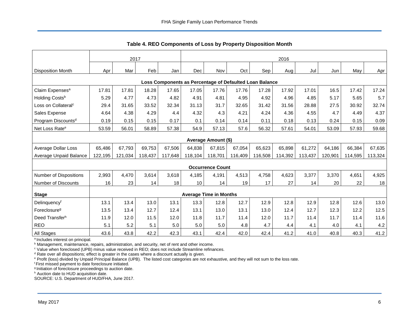<span id="page-6-0"></span>

|                                                         | 2017    |         |         |         | 2016    |                               |         |         |         |         |         |         |         |
|---------------------------------------------------------|---------|---------|---------|---------|---------|-------------------------------|---------|---------|---------|---------|---------|---------|---------|
| <b>Disposition Month</b>                                | Apr     | Mar     | Feb     | Jan     | Dec     | Nov                           | Oct     | Sep     | Aug     | Jul     | Jun     | May     | Apr     |
|                                                         |         |         |         |         |         |                               |         |         |         |         |         |         |         |
| Loss Components as Percentage of Defaulted Loan Balance |         |         |         |         |         |                               |         |         |         |         |         |         |         |
| Claim Expenses <sup>a</sup>                             | 17.81   | 17.81   | 18.28   | 17.65   | 17.05   | 17.76                         | 17.76   | 17.28   | 17.92   | 17.01   | 16.5    | 17.42   | 17.24   |
| Holding Costsb                                          | 5.29    | 4.77    | 4.73    | 4.82    | 4.91    | 4.81                          | 4.95    | 4.92    | 4.96    | 4.85    | 5.17    | 5.65    | 5.7     |
| Loss on Collateral <sup>c</sup>                         | 29.4    | 31.65   | 33.52   | 32.34   | 31.13   | 31.7                          | 32.65   | 31.42   | 31.56   | 28.88   | 27.5    | 30.92   | 32.74   |
| Sales Expense                                           | 4.64    | 4.38    | 4.29    | 4.4     | 4.32    | 4.3                           | 4.21    | 4.24    | 4.36    | 4.55    | 4.7     | 4.49    | 4.37    |
| Program Discounts <sup>d</sup>                          | 0.19    | 0.15    | 0.15    | 0.17    | 0.1     | 0.14                          | 0.14    | 0.11    | 0.18    | 0.13    | 0.24    | 0.15    | 0.09    |
| Net Loss Rate <sup>e</sup>                              | 53.59   | 56.01   | 58.89   | 57.38   | 54.9    | 57.13                         | 57.6    | 56.32   | 57.61   | 54.01   | 53.09   | 57.93   | 59.68   |
| Average Amount (\$)                                     |         |         |         |         |         |                               |         |         |         |         |         |         |         |
| Average Dollar Loss                                     | 65,486  | 67,793  | 69,753  | 67,506  | 64,838  | 67,815                        | 67,054  | 65,623  | 65,898  | 61,272  | 64,186  | 66,384  | 67,635  |
| Average Unpaid Balance                                  | 122,195 | 121,034 | 118,437 | 117,648 | 118,104 | 118,701                       | 116,409 | 116,508 | 114,392 | 113,437 | 120,901 | 114,595 | 113,324 |
|                                                         |         |         |         |         |         | <b>Occurrence Count</b>       |         |         |         |         |         |         |         |
| <b>Number of Dispositions</b>                           | 2,993   | 4,470   | 3,614   | 3,618   | 4,185   | 4,191                         | 4,513   | 4,758   | 4,623   | 3,377   | 3,370   | 4,651   | 4,925   |
| <b>Number of Discounts</b>                              | 16      | 23      | 14      | 18      | 10      | 14                            | 19      | 17      | 27      | 14      | 20      | 22      | 18      |
|                                                         |         |         |         |         |         |                               |         |         |         |         |         |         |         |
| <b>Stage</b>                                            |         |         |         |         |         | <b>Average Time in Months</b> |         |         |         |         |         |         |         |
| Delinquencyf                                            | 13.1    | 13.4    | 13.0    | 13.1    | 13.3    | 12.8                          | 12.7    | 12.9    | 12.8    | 12.9    | 12.8    | 12.6    | 13.0    |
| Foreclosure <sup>g</sup>                                | 13.5    | 13.4    | 12.7    | 12.4    | 13.1    | 13.0                          | 13.1    | 13.0    | 12.4    | 12.7    | 12.3    | 12.2    | 12.5    |
| Deed Transferh                                          | 11.9    | 12.0    | 11.5    | 12.0    | 11.8    | 11.7                          | 11.4    | 12.0    | 11.7    | 11.4    | 11.7    | 11.4    | 11.6    |
| <b>REO</b>                                              | 5.1     | 5.2     | 5.1     | 5.0     | 5.0     | $5.0$                         | 4.8     | 4.7     | 4.4     | 4.1     | 4.0     | 4.1     | 4.2     |
| <b>All Stages</b>                                       | 43.6    | 43.8    | 42.2    | 42.3    | 43.1    | 42.4                          | 42.0    | 42.4    | 41.2    | 41.0    | 40.8    | 40.3    | 41.2    |

**Table 4. REO Components of Loss by Property Disposition Month** 

<sup>a</sup> Includes interest on principal.

<sup>b</sup> Management, maintenance, repairs, administration, and security, net of rent and other income.

<sup>c</sup> Value when foreclosed (UPB) minus value received in REO; does not include Streamline refinances.

<sup>d</sup> Rate over all dispositions; effect is greater in the cases where a discount actually is given.

e Profit (loss) divided by Unpaid Principal Balance (UPB). The listed cost categories are not exhaustive, and they will not sum to the loss rate.

<sup>f</sup>First missed payment to date foreclosure initiated.

g Initiation of foreclosure proceedings to auction date.

h Auction date to HUD acquisition date.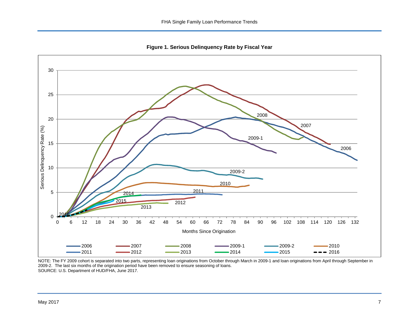<span id="page-7-1"></span>**Figure 1. Serious Delinquency Rate by Fiscal Year** 

<span id="page-7-0"></span>

NOTE: The FY 2009 cohort is separated into two parts, representing loan originations from October through March in 2009-1 and loan originations from April through September in 2009-2. The last six months of the origination period have been removed to ensure seasoning of loans. SOURCE: U.S. Department of HUD/FHA, June 2017.